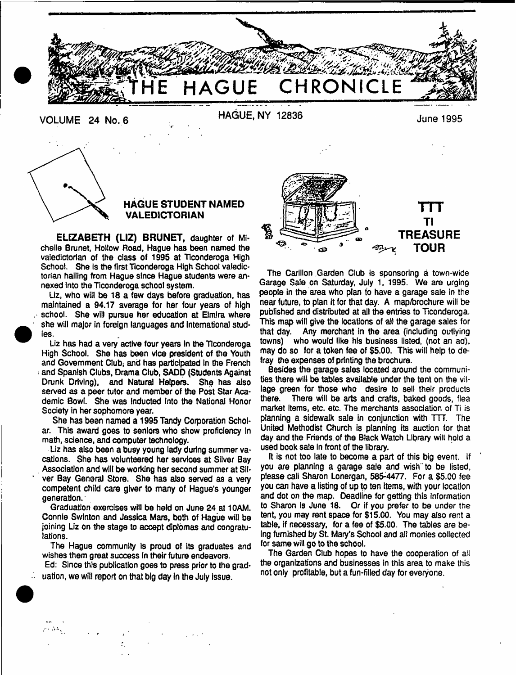



# **HAGUE STUDENT NAMED VALEDICTORIAN**

**ELIZABETH (LIZ) BRUNET,** daughter of Michelle Brunet, Hollow Road, Hague has been named the valedictorian of the class of 1995 at Tlconderoga High School. She is the first Ticonderoga High School valedictorian hailing from Hague since Hague students were annexed into the Tlconderoga school system.

Liz, who will be 18 a few days before graduation, has maintained a 94.17 average for her four years of high school. She will pursue her education at Elmira where she will major in foreign languages and international studies.

Liz has had a very active four years In the Tlconderoga High School. She has been vice president of the Youth and Government Club, and has participated In the French and Spanish Clubs, Drama Club, SADD (Students Against Drunk Driving), and Natural Helpers. She has also served as a peer tutor and member of the Post Star Academic Bowl. She was inducted Into the National Honor Society in her sophomore year.

She has been named a 1995 Tandy Corporation Scholar. This award goes to seniors who show proficiency In math, science, and computer technology.

Liz has also been a busy young lady during summer vacations. She has volunteered her services at Silver Bay Association and will be working her second summer at Sliver Bay General Store. She has also served as a very competent child care giver to many of Hague's younger generation.

Graduation exercises will be held on June 24 at 10AM. Connie Swfnton and Jessica Mars, both of Hague will be joining Liz on the stage to accept diplomas and congratulations.

The Hague community is proud of its graduates and wishes them great success In their future endeavors.

Ed: Since this publication goes to press prior to the graduation, we will report on that big day in the July issue.



The Carillon Garden Club is sponsoring a town-wide Garage Sale on Saturday, July 1, 1995. We are urging people in the area who plan to have a garage sale in the near future, to plan it for that day. A map/brochure will be published and distributed at all the entries to Ticonderoga. This map will give the locations of all the garage sales for that day. Any merchant in the area (including outlying towns) who would like his business listed, (not an ad), may do so for a token fee of \$5.00. This will help to defray the expenses of printing the brochure.

Besides the garage sales located around the communities there will be tables available under the tent on the village green for those who desire to sell their products there. There will be arts and crafts, baked goods, flea market items, etc. etc. The merchants association of Ti is planning a sidewalk sale in conjunction with TTT. The United Methodist Church is planning its auction for that day and the Friends, of the Black Watch Library will hold a used book sale In front of the library.

It is not too late to become a part of this big event. If you are planning a garage sale and wish to be listed, please call Sharon Lonergan, 585:4477. For a \$5.00 fee you can have a listing of up to ten items, with your location and dot on the map. Deadline for getting this information to Sharon Is June 18. Or if you prefer to be under the tent, you may rent space for \$15.00. You may also rent a table, if necessary, for a fee of \$5.00. The tables are being furnished by St. Mary's School and all monies collected for same will go to the school.

The Garden Club hopes to have the cooperation of ail the organizations and businesses in this area to make this not only profitable, but a fun-filled day for everyone.

 $\cdots$  . And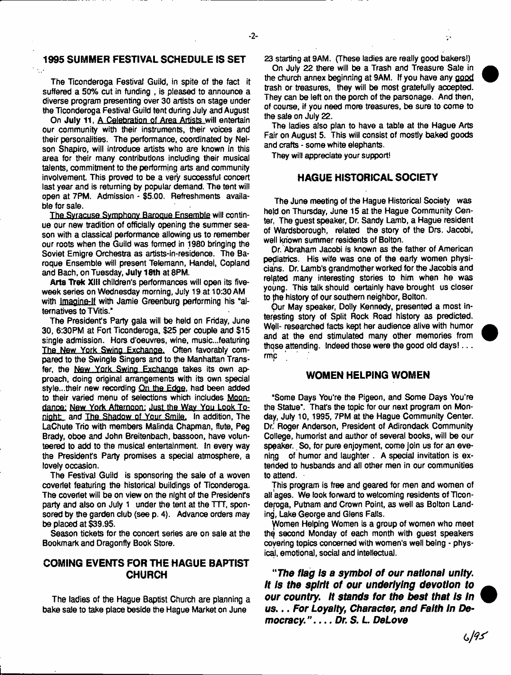#### **1995 SUMMER FESTIVAL SCHEDULE IS SET**

The Ticonderoga Festival Guild, in spite of the fact it suffered a 50% cut in funding , is pleased to announce a diverse program presenting over 30 artists on stage under the Ticonderoga Festival Guild tent during July and August

On **July 11,** A Celebration of Area Artists will entertain our community with their instruments, their voices and their personalities. The performance, coordinated by Nelson Shapiro, will introduce artists who are known in this area for their many contributions including their musical talents, commitment to the performing arts and community involvement. This proved to be a very successful concert last year and is returning by popular demand. The tent will open at 7PM. Admission - \$5.00. Refreshments available for sale.

The Syracuse Symphony Baroque Ensemble will continue our new tradition of officially opening the summer season with a classical performance allowing us to remember our roots when the Guild was formed in 1980 bringing the Soviet Emigre Orchestra as artists-in-residence. The Baroque Ensemble will present Telemann, Handel, Copland and Bach, on Tuesday, **July 18th** at 8PM.

Arts Trek XIII children's performances will open its fiveweek series on Wednesday morning, July 19 at 10:30 AM with Imagine-lf with Jamie Greenburg performing his "alternatives to TVitis."

The President's Party gala will be held on Friday, June 30, 6:30PM at Fort Ticonderoga, \$25 per couple and \$15 single admission. Hors d'oeuvres, wine, music.,.featuring The New York Swing Exchange. Often favorably compared to the Swingle Singers and to the Manhattan Transfer, the New York Swing Exchange takes its own approach, doing original arrangements with its own special style...their new recording On the Edge, had been added to their varied menu of selections which includes Moondance: New York Afternoon: Just the Way You Look Tonight and The Shadow of Your Smile. In addition, The LaChute Trio with members Maiinda Chapman, flute, Peg Brady, oboe and John Breitenbach, bassoon, have volunteered to add to the musical entertainment. In every way the President's Party promises a special atmosphere, a lovely occasion.

The Festival Guild is sponsoring the sale of a woven coverlet featuring the historical buildings of Ticonderoga. The coverlet will be on view on the night of the President's party and also on July 1 under the tent at the TTT, sponsored by the garden club (see p. 4). Advance orders may be placed at \$39.95.

Season tickets for the concert series are on sale at the Bookmark and Dragonfly Book Store.

# **COMING EVENTS FOR THE HAGUE BAPTIST CHURCH**

The ladies of the Hague Baptist Church are planning a bake sale to take place beside the Hague Market on June

23 starting at 9AM. (These ladies are really good bakers!)

Ò,

On July 22 there will be a Trash and Treasure Sale in the church annex beginning at 9AM. If you have any good trash or treasures, they will be most gratefully accepted. They can be left on the porch of the parsonage. And then, of course, if you need more treasures, be sure to come to the sale on July 22.

The ladies also plan to have a table at the Hague Arts Fair on August 5. This will consist of mostly baked goods and crafts - some white elephants.

They will appreciate your support!

-2-

## **HAGUE HISTORICAL SOCIETY**

The June meeting of the Hague Historical Society was held on Thursday, June 15 at the Hague Community Center. The guest speaker, Dr. Sandy Lamb, a Hague resident of Wardsborough, related the story of the Drs. Jacobi, well known summer residents of Bolton.

Or. Abraham Jacobi is known as the father of American pediatrics. His wife was one of the early women physicians. Dr. Lamb's grandmother worked for the Jacobis and related many interesting stories to him when he was young. This talk should certainly have brought us closer to fhe history of our southern neighbor, Bolton.

Our May speaker, Dolly Kennedy, presented a most interesting story of Split Rock Road history as predicted. Well- researched facts kept her audience alive with humor and at the end stimulated many other memories from those attending. Indeed those were the good old days!... rmp

## **WOMEN HELPING WOMEN**

"Some Days You're the Pigeon, and Some Days You're the Statue". That's the topic for our next program on Monday, July 10,1995, 7PM at the Hague Community Center. Dr.' Roger Anderson, President of Adirondack Community College, humorist and author of several books, will be our speaker. So, for pure enjoyment, come join us for an evening of humor and laughter. A special invitation is extended to husbands and all other men in our communities to attend.

This program is free and geared for men and women of all ages. We look forward to welcoming residents of Ticondepga, Putnam and Crown Point, as weil as Bolton Landing, Lake George and Glens Falls.

Women Helping Women is a group of women who meet thq second Monday of each month with guest speakers covering topics concerned with women's well being - physical, emotional, social and intellectual.

*"The flag Is a symbol of our national unity. It Is the spirit of our underlying devotion to our country. It stands for the best that Is In us***...** *For Loyalty, Character, and Faith In Dem o c ra c y* **.** *..Dr. S.L DeLove*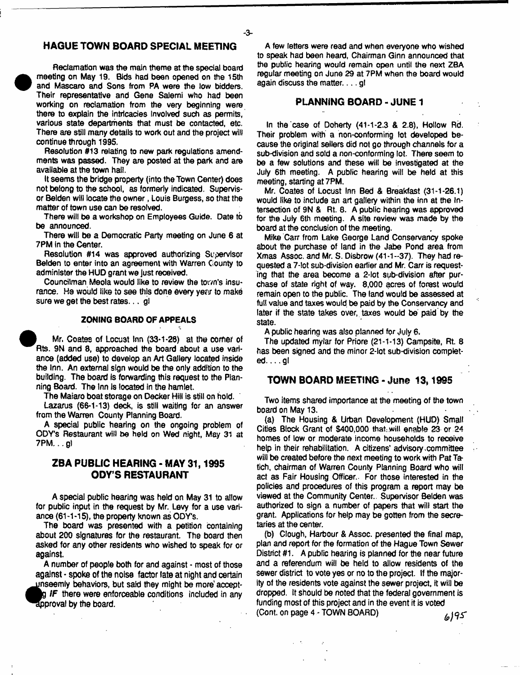## **HAGUE TOWN BOARD SPECIAL MEETING**

- **3**-

Reclamation was the main theme at the special board meeting on May 19. Bids had been opened on the 15th and Mascaro and Sons from PA were the low bidders. Their representative and Gene Salemi who had been working on reclamation from the very beginning were there to explain the intricacies involved such as permits, various state departments that must be contacted, etc. There are still many details to work out and the project will continue through 1995.

**•** 

Resolution #13 relating to new park regulations amendments was passed. They are posted at the park and are available at the town hall.

It seems the bridge property (into the Town Center) does not belong to the school, as formerly indicated. Supervisor Belden will locate the owner, Louis Burgess, so that the matter of town use can be resolved.

There will be a workshop on Employees Guide. Date to be announced.

There will be a Democratic Party meeting on June 6 at 7PM in the Center.

Resolution #14 was approved authorizing Supervisor Belden to enter into an agreement with Warren County to administer the HUD grant we just received.

Councilman Meola would like to review the town's insurance. He would like to see this done every year to make sure we get the best rates... gl

#### **ZONING BOARD OF APPEALS**

Mr. Coates of Locust Inn (33\*1-28) at the comet of Rts. 9N and 8, approached the board about a use variance (added use) to develop an Art Gallery located inside the inn. An external sign would be the only addition to the building. The board Is forwarding this request to the Planning Board. The Inn Is located in the hamlet.

The Maiaro boat storage on Decker Hill is still on hold.

Lazarus (66-1-13) deck, is still waiting for an answer from the Warren County Planning Board.

A special public hearing on the ongoing problem of ODY's Restaurant will be held on Wed night, May 31 at 7PM... g)

## **ZBA PUBLIC HEARING - MAY 31,1995 ODY'S RESTAURANT**

A special public hearing was held on May 31 to allow for public input in the request by Mr. Levy for a use variance (61 -1-15), the property known as ODY's.

The board was presented with a petition containing about 200 signatures for the restaurant. The board then asked for any other residents who wished to speak for or against.

A number of people both for and against - most of those against • spoke of the noise factor late at night and certain ^^nseemly behaviors, but said they might be more\* accept-

*fF* there were enforceable conditions included in any approval by the board.

A few letters were read and when everyone who wished to speak had been heard, Chairman Ginn announced that the public hearing would remain open until the next ZBA regular meeting on June 29 at 7PM when the board would again discuss the matter.  $\ldots$  gl

## **PLANNING BOARD - JUNE 1**

In the case of Doherty (41-1-2.3 & 2.8), Hollow Rd. Their problem with' a non-conforming lot developed because the original sellers did not go through channels for a sub-division and sold a non-conforming lot. There seem to be a few solutions and these will be investigated at the July 6th meeting. A public hearing will be held at this meeting, starting at 7PM.

Mr. Coates of Locust Inn Bed & Breakfast (31-1-26.1) would like to include an art gallery within the inn at the Intersection of 9N & Rt. 8. A public hearing was approved for the July 6th meeting. A site review was made by the board at the conclusion of the meeting.

Mike Carr from Lake George Land Conservancy spoke about the purchase of land in the Jabe Pond area from Xmas Assoc, and Mr. S. Disbrow (41-1--37). They had requested a 7-lot sub-division earlier and Mr. Carr is requesting that the area become a 2-lot sub-division after purchase of state right of way. 8,000 acres of forest would remain open to the public. The land would be assessed at full value and taxes would be paid by the Conservancy and later if the state takes over, taxes would be paid'by the state.

A public hearing was also planned for July 6,

The updated mylar for Priore (21-1-13) Campsite, Rt 8 has been signed and the minor 2-lot sub-division completed. .. .gl

#### **TOWN BOARD MEETING - June 13,1995**

Two items shared importance at the meeting of the town board on May 13.

(a) The Housing & Urban Development (HUD) Small Cities Block Grant of \$400,000 that .will enable 23 or 24 homes of low or moderate income households to receive help in their rehabilitation. A citizens' advisory committee will be created before the next meeting to work with Pat Tatich, chairman of Warren County Planning Board who will act as Fair Housing Officer.. For those interested in the policies and procedures of this program a report may be viewed at the Community Center.. Supervisor Belden was authorized to sign a number of papers that will start the grant. Applications for help may be gotten from the secretaries at the center.

(b) Clough, Harbour & Assoc, presented the final map, plan and report for the formation of the Hague Town Sewer District #1. A public hearing is planned for the near future and a referendum will be held to allow residents of the sewer district to vote yes or no to the project. If the majority of the residents vote against the sewer project, it will be dropped. It should be noted that the federal government is funding most of this project and in the event it is voted (Cont. on page 4 - TOWN BOARD)  $\omega$  | 95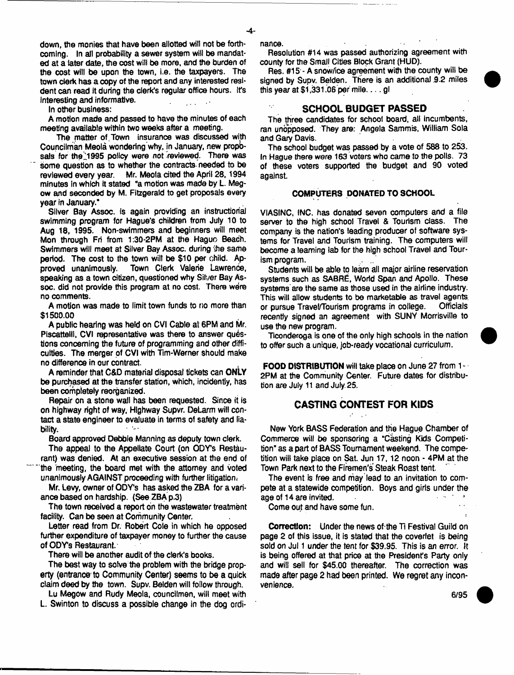down, the monies that have been allotted will not be forthcoming. In all probability a sewer system will be mandated at a later date, the cost wilt be more, and the burden of the cost will be upon the town, i.e. the taxpayers. The town clerk has a copy of the report and any interested resident can read it during the clerk's regular office hours. It's interesting and informative.

In other business:

A motion made and passed to have the minutes of each meeting available within two weeks after a meeting.

The matter of Town insurance was discussed with Councilman Meola wondering why, in January, new propbsals for the 1995 policy were not reviewed. There was some question as to whether the contracts- needed to be reviewed every year. Mr. Meola cited the April 28,1994 minutes In which it stated "a motion was made by L. Megow and seconded by M. Fitzgerald to get proposals every year in January.'

Silver Bay Assoc, is again providing an instructional swimming program for Hague's children from July 10 to Aug 18, 1995. Non-swimmers and beginners will meet Mon through Fri from 1:30-2PM at the Haguo Beach. Swimmers will meet at Silver Bay Assoc, during ihe same period. The cost to the town wilt be \$10 per child. Approved unanimously. Town Clerk Valerie Lawrence, speaking as a town citizen, questioned why Silver Bay Assoc. did not provide this program at no cost. There were no comments.

A motion was made to limit town funds to no more than \$1500.00

A public hearing was held on CVI Cable at 6PM and Mr. Piscattelli, CVI representative was there to answer questions concerning the future *of* programming and other difficulties. The merger of CVI with Tim-Werner should make no difference in our contract.

A reminder that C&D material disposat tickets can OnLy be purchased at the transfer station, which, incidently, has been completely reorganized.

Repair on a stone wall has been requested. Since it is on highway right of way, Highway Supvr. DeLarm will contact a state engineer to evaluate in terms of safety and liability.

Board approved Debbie Manning as deputy town clerk.

The appeal to the Appellate Court (on ODY's Restaurant) was denied. At an executive session at the end of the meeting, the board met with the attorney and voted unanimously AGAINST proceeding with further litigation.

Mr. Levy, owner of ODY's has asked the ZBA for a variance based on hardship. (See ZBA p.3)

The town received a report on the wastewater treatment facility. Can be seen at Community Center.

Letter read from Dr. Robert Cote in which he opposed further expenditure of taxpayer money to further the cause of ODY's Restaurant.

There will be another audit of the clerk's books.

The best way to solve the problem with the bridge property (entrance-to Community Center) seems to be a quick claim deed by the town. Supv, Belden will follow through.

Lu Megow and Rudy Meola, councilman, will meet with L. Swinton to discuss a possible change in the dog ordinance.

Resolution #14 was passed authorizing agreement with county for the Small Cities Block Grant (HUD).

Res. #15 - A snow/ice agreement with the county will be signed by Supv. Belden. There is an additional 9.2 miles this year at \$1,331.06 per mile.... gl

## **SCHOOL BUDGET PASSED**

The three candidates for school board, all incumbents, ran unopposed. They are: Angela Sammis, William Sola and Gary Davis.

The school budget was passed by a vote of 588 to 253. In Hague there were 163 voters who came to the polls. 73 of these voters supported the budget and 90 voted against.

#### COMPUTERS DONATED TO SCHOOL

VIASINC, INC. has donated seven computers and a file server to the high school Travel & Tourism class. The company is the nation's leading producer of software systems for Travel and Tourism training. The computers will become a teaming lab *for the* high school Travel and Tourism program.

Students will be able to learn all major airline reservation systems such as SABRE, World Span and Apollo. These systems'are the same as those used in the airline industry. This will allow students to be marketable as travel agents, or pursue Travel/Tourism programs in college. Officials recently signed an agreement with SUNY Morrisville to use the new program.

Ticonderoga is one of the only high schools in the nation to offer such a unique, job-ready vocational curriculum.

FOOD DISTRIBUTION will take place on June 27 from 1 - 2PM at the Community Center. Future dates for distribution are July 11 and July 25.

## **CASTING CONTEST FOR KIDS**

New York BASS Federation and the Hague Chamber of Commerce will be sponsoring a "Casting Kids Competition" as a part of BASS Tournament weekend. The competition will take place on Sat. Jun 17,12 noon - 4PM at the Town Park next to the Firemen's Steak Roast tent.

The event is free and may lead to an invitation to compete at a statewide competition. Boys and girls under the age of 14 are invited.

Come out and have some fun.

Correction: Under the news of the Ti Festival Guild on page 2 of this issue, it is stated that the coverlet is being sold on Jul 1 under the tent for \$39.95. This is an error. It is being offered at that price at the President's Party only and will sell for \$45.00 thereafter. The correction was made after page 2 had been printed. We regret any inconvenience.

**6/95**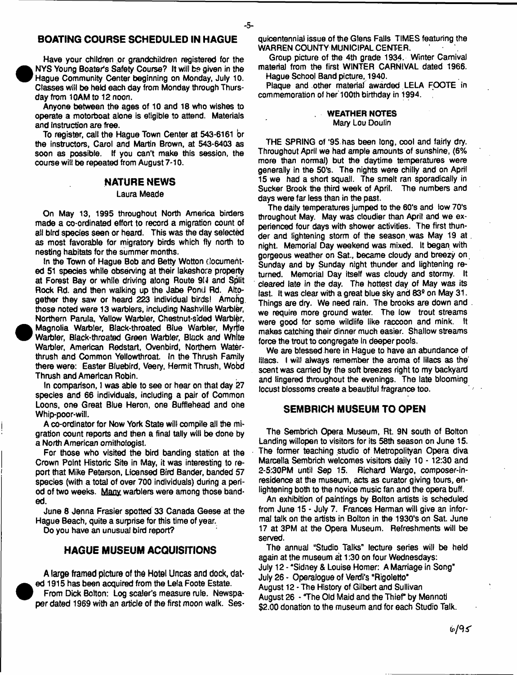# **BOATING COURSE SCHEDULED IN HAGUE**

- **5**-

Have your children or grandchildren registered for the NYS Young Boater's Safety Course? It will be given in the Hague Community Center beginning on Monday, July 10. Classes will be held each day from Monday through Thursday from 10AM to 12 noon.

<sup>•</sup>

<sup>•</sup>

Anyone between the ages of 10 and 18 who wishes to operate a motorboat alone is eligible to attend. Materials and instruction are free.

To register, call the Hague Town Center at 543-6161 br the instructors, Carol and Martin Brown, at 543-6403 as soon as possible. If you can't make this session, the course will be repeated from August 7-10.

## **NATURE NEWS**

#### Laura Meade

On May 13, 1995 throughout North America birders made a co-ordinated effort to record a migration count of ail bird species seen or heard. This was the day selected as most favorable for migratory birds which fly north to nesting habitats for the summer months.

In the Town of Hague Bob and Betty Wotton documented 51 species while observing at their lakeshore property at Forest Bay or while driving along Route 9U and Split Rock Rd. and then walking up the Jabe Pond Rd. Altogether they saw or heard 223 individual birds! Amofig those noted were 13 warblers, including Nashville Warbler, Northern Parula, Yellow Warbler, Chestnut-sided Warbler, Magnolia Warbler, Black-throated Blue Warbler, Myrtle Warbler, Black-throated Green Warbler, Black and White Warbler, American Redstart, Ovenbird, Northern Waterthrush and Common Yellowthroat. In the Thrush Family there were: Easter Bluebird, Veery, Hermit Thrush, Wobd Thrush and American Robin.

In comparison, I was able to see or hear on that day 27 species and 66 individuals, including a pair of Common Loons, one Great Blue Heron, one Bufflehead and ohe Whip-poor-wilL

A co-ordinator for Now York State will compile all the migration count reports and then a final tally will be done by a North American ornithologist.

For those who visited the bird banding station at the Crown Point Historic Site in May, it was interesting to report that Mike Peterson, Licensed Bird Bander, banded 57 species (with a total of over 700 individuals) during a period of two weeks. Many warblers were among those banded.

June 8 Jenna Frasier spotted 33 Canada Geese at the Hague Beach, quite a surprise for this time of year.

Do you have an unusual bird report?

### **HAGUE MUSEUM ACQUISITIONS**

A **large framed picture of the Hotel Uncas and dock, dat**ed 1915 has been acquired from the Lela Foote Estate. From Dick Bolton: Log scaler's measure rule. Newspaper dated 1969 with an article of the first moon walk. Sesquicentennial issue of the Glens Falls TIMES featuring the WARREN COUNTY MUNICIPAL CENTER.

Group picture of the 4th grade 1934. Winter Carnival material from the first WINTER CARNIVAL dated 1966. Hague School Band picture, 1940.

Plaque and other material awarded LELA FOOTE in commemoration of her 100th birthday in 1994.

#### **. WEATHER NOTES** Mary Lou Douiin

THE SPRING of '95 has been long, cool and fairly dry. Throughout April we had ample amounts of sunshine, (6% more than normal) but the daytime temperatures were generally in the 50's. The nights were chilly and on April 15 we had a short squall. The smelt ran sporadically in Sucker Brook the third week of April. The numbers and days were far less than in the past.

The daily temperatures jumped to the 60's and low 70's throughout May. May was cloudier than April and we experienced four days with shower activities. The first thunder and lightening storm of the season was May 19 at. night. Memorial Day weekend was mixed. It began with gorgeous weather on Sat., became cloudy and breezy on Sunday and by Sunday night thunder and lightening returned. Memorial Day itself was cloudy and stormy. It cleared late in the day. The hottest day of May was its last. It was clear with a great blue sky and 83<sup>9</sup> on May 31. Things are dry. We need rain. The brooks are down and. we require more ground water. The low trout streams were good for some wildlife like raccoon and mink. It makes catching their dinner much easier. Shallow streams force the trout to congregate in deeper pools.

We are blessed here in Hague to have an abundance of lilacs. I will always remember the aroma of lilacs as the scent was carried by the soft breezes right to my backyard and lingered throughout the evenings. The late blooming locust blossoms create a beautiful fragrance too.

#### **SEMBR1CH MUSEUM TO OPEN**

The Sembrich Opera Museum, Rt. 9N south of Bolton Landing wiliopen to visitors for its 58th season on June 15. The former teaching studio of Metropolityan Opera diva Marcella Sembrich welcomes visitors daily 10 -12:30 and 2-5:30PM until Sep 15. Richard Wargo, composer-inresidence at the museum, acts as curator giving tours, enlightening both to the novice music fan and the opera buff.

An exhibition of paintings by Bolton artists is scheduled from June 15 - July 7. Frances Herman will give an informal talk on the artists in Bolton in the 1930's on Sat June 17 at 3PM at the Opera Museum. Refreshments will be served.

The annual "Studio Talks" lecture series will be held again at the museum at 1:30 on four Wednesdays: July 12 - "Sidney & Louise Homer: A Marriage in Song" July 26 - Operalogue of Verdi's "Rigoletto' August 12 - The History of Gilbert and Sullivan August 26 - 'The Old Maid and the Thief by Mennoti \$2.00 donation to the museum and for each Studio Talk.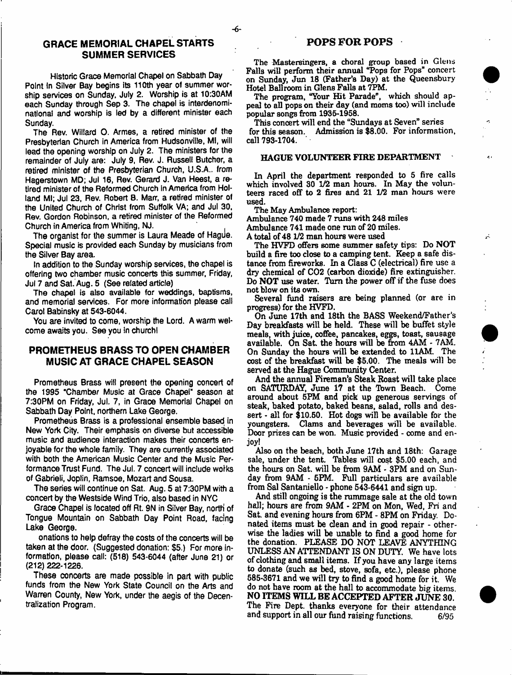## **GRACE MEMORIAL CHAPEL STARTS SUMMER SERVICES**

Historic Grace Memorial Chapel on Sabbath Day Point in Silver Bay begins its 110th year of summer worship services on Sunday, July 2. Worship is at 10:30AM each Sunday through Sep 3. The chapel is interdenominational and worship is led by a different minister each Sunday.

The Rev. Willard 0. Armes, a retired minister of the Presbyterian Church in America from Hudsonville, Ml, will lead the opening worship on July 2. The ministers for the remainder of July are: July 9, Rev. J. Russeii Butcher, a retired minister of the Presbyterian Church, U.S.A.. from Hagerstown MD; Jul 16, Rev. Gerard J. Van Heest, a retired minister of the Reformed Church In America from Holland Ml; Jul 23, Rev. Robert B. Marr, a retired minister of the United Church of Christ from Suffolk VA; and Jul 30, Rev. Gordon Robinson, a retired minister of the Reformed Church in America from Whiting, NJ.

The organist for the summer is Laura Meade of Hague. Special music is provided each Sunday by musicians from the Silver Bay area.

In addition to the Sunday worship services, the chapel is offering two chamber music concerts this summer, Friday, Jul 7 and Sat. Aug. 5 (See related article)

The chapel is also available for weddings, baptisms, and memorial services. For more information please call Carol Babinsky at 543-6044.

You are invited to come, worship the Lord. A warm welcome awaits you. See you in church!

## **PROMETHEUS BRASS TO OPEN CHAMBER MUSIC AT GRACE CHAPEL SEASON**

Prometheus Brass will present the opening concert of the 1995 "Chamber Music at Grace Chapel" season at 7:30PM on Friday, Jul. 7, in Graoe Memorial Chapel on Sabbath Day Point, northern Lake George.

Prometheus Brass is a professional ensemble based in New York City. Their emphasis on diverse but accessible music and audience interaction makes their concerts enjoyable for the whole family. They are currently associated with both the American Music Center and the Music Performance Trust Fund. The Jul. 7 concert will include woiks of Gabrieli, Joplin, Ramsoe, Mozart and Sousa.

The series will continue on Sat. Aug. 5 at 7:30PM with a concert by the Westside Wind Trio, also based in NYC

Grace Chapel is located off Rt. 9N in Silver Bay, north of Tongue Mountain on Sabbath Day Point Road, facing Lake George.

onations to help defray the costs of the concerts will be taken at the door. (Suggested donation: \$5.) For more information, please call: (518) 543-6044 (after June 21) or (212) 222-1226.

These concerts are made possible in part with public funds from the New York State Council on the Arts and Warren County, New York, under the aegis of the Decentralization Program.

The Mastersingers, a choral group based in Glens Falls will perform their annual "Pops for Pops" concert on Sunday, Jun 18 (Father's Day) at the Queensbury Hotel Ballroom in Glens Falls at 7PM.

The program, "Your Hit Parade", which should appeal to all pops on their day (and moms too) will include popular songs from 1935-1958.

This concert will end the "Sundays at Seven" series for this season. Admission is \$8.00. For information, call 793-1704.

#### HAGUE VOLUNTEER FIRE DEPARTMENT

In April the department responded to 5 fire calls which involved 30 1/2 man hours. In May the volunteers raced off to 2 fires and 21 1/2 man hours were used.

The May Ambulance report:

Ambulance 740 made 7 runs with 248 miles Ambulance 741 made one run of 20 miles.

A total of48 172 man hours were used

The HVFD offers some summer safety tips: Do NOT build a fire too close to a camping tent. Keep a safe distance from fireworks. In a Class C (electrical) fire use a dry chemical of C02 (carbon dioxide) fire extinguisher. Do NOT use water. Turn the power off if the fuse does not blow on its own.

 $\mathcal{L}$ 

Several fund raisers are being planned (or are in progress) for the HVFD.

On June 17th and 18th the BASS Weekend/Father's Day breakfasts will be held. These will be buffet style meals, with juice, coffee, pancakes, eggs, toast, sausage available. On Sat. the hours will be from  $4AM - 7AM$ . On Sunday the hours will be extended to 11AM. The cost of the breakfast will be \$5.00. The meals will be served at the Hague Community Center.

And the annual Fireman's Steak Roast will take place on SATURDAY, June 17 at the Tbwn Beach. Come around about 5PM and pick up generous servings of steak, baked potato, baked beans, salad, rolls and dessert - all for \$10.50. Hot dogs will be available for the youngsters. Clams and beverages will be available. Door prizes can be won. Music provided - come and enjoy!

Also on the beach, both June 17th and 18th: Garage sale, under the tent. Tables will cost \$5.00 each, and the hours on Sat. will be from 9AM - 3PM and on Sunday from 9AM - 6PM. Full particulars are available from Sal Santaniello - phone 543-6441 and sign up.

And still ongoing is the rummage sale at the old town hall; hours are from 9AM - 2PM on Mon, Wed, Fri and Sat and evening hours from 6PM - 8PM on Friday. Donated items must be dean and in good repair - otherwise the ladies will be unable to find a good home for the donation. PLEASE DO NOT LEAVE ANYTHING UNLESS AN ATTENDANT IS ON DUTY. We have lots of clothing and small items. If you have any large items to donate (such as bed, stove, sofa, etc.), please phone 685-3671 and we will try to find a good home for it. We do not have room at the hall to accommodate big items NO ITEMS WILL BE ACCEPTED AFTER JUNE 30. The Fire Dept, thanks everyone for their attendance and support in all our fund raising functions. 6/95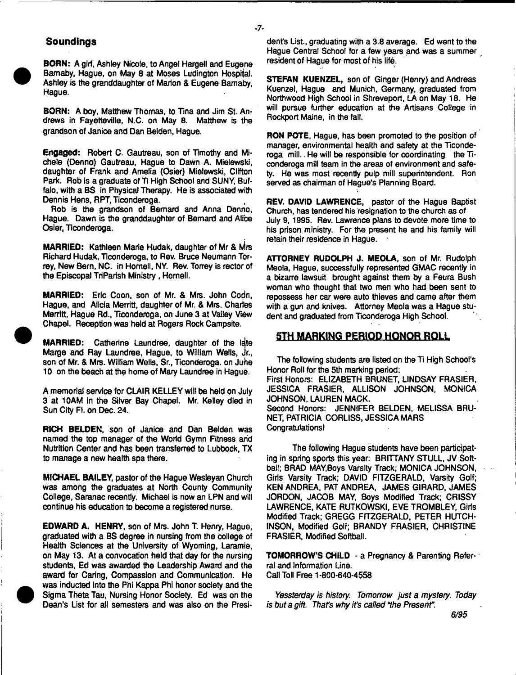## **Soundlngs**

**BORN:** A girl, Ashley Nicole, to Angel Hargell and Eugene Bamaby, Hague, on May 8 at Moses Ludington Hospital. Ashley is the granddaughter of Marion & Eugene Bamaby, Hague.

**BORN:** A boy, Matthew Thomas, to Tina and Jim St. Andrews in Fayetteville, N.C. on May 6. Matthew is the grandson of Janice and Dan Belden, Hague.

**Engaged:** Robert C. Gautreau, son of Timothy and Michele (Denno) Gautreau, Hague to Dawn A. Mielewski, daughter of Frank and Amelia (Osier) Mielewski, Clifton Park. Rob is a graduate of Ti High School and SUNY, Buffalo, with a BS in Physical Therapy. He is associated with Dennis Hens, RPT, Ticonderoga.

Rob is the grandson of Bernard and Anna Denno, Hague. Dawn is the granddaughter of Bernard and Alice Osier, Tlconderoga.

**MARRIED:** Kathleen Marie Hudak, daughter of Mr & Mrs Richard Hudak, Ticonderoga, to Rev. Bruce Neumann Torrey, New Bern, NC. in Homell, NY. Rev. Torrey is rector of the Episcopal TriParish Ministry, Hornell.

**MARRIED:** Eric Coon, son of Mr. & Mrs. John Codn, Hague, and Alicia Merritt, daughter of Mr. & Mrs. Charles Merritt, Hague Rd., Ticonderoga, on June 3 at Valley View Chapel. Reception was held at Rogers Rock Campsite.

**MARRIED:** Catherine Laundree, daughter of the late Marge and Ray Laundree, Hague, to William Weils, jr., son of Mr. & Mrs. William Wells, Sr., Ticonderoga. on Juhe 10 on the beach at the home of Mary Laundree in Hague.

A memorial service for CLAIR KELLEY will be held on July 3 at 10AM in the Silver Bay Chapel. Mr. Kelley died in Sun City Ft. on Dec. 24.

**RICH BELDEN,** son of Janice and Dan Belden was named the top manager of the World Gymn Fitness arid Nutrition Center and has been transferred to Lubbock, TX to manage a new health spa there.

**MICHAEL BAILEY,** pastor of the Hague Wesleyan Church was among the graduates at North County Community College, Saranac recently. Michael is now an LPN and will continue his education to become a registered nurse.

**EDWARD A. HENRY,** son of Mrs. John T. Henry, Hague, graduated with a BS degree in nursing from the college of Health Sciences at the University of Wyoming, Laramie, on May 13. At a convocation held that day for the nursing students, Ed was awarded the Leadership Award and the award for Caring, Compassion and Communication. He was inducted into the Phi Kappa Phi honor society and the Sigma Theta Tau, Nursing Honor Society. Ed was on the Dean's List for all semesters and was also on the President's List, graduating with a 3.8 average. Ed went to the Hague Central School for a few years and was a summer resident of Hague for most of his life.

- **7**-

**STEFAN KUENZEL,** son of Ginger (Henry) and Andreas Kuenzel, Hague and Munich, Germany, graduated from Northwood High School in Shreveport, LA on May 18. He will pursue further education at the Artisans College in Rockport Maine, in the fail.

**RON POTE,** Hague, has been promoted to the position of manager, environmental health and safety at the Ticonderoga mill.. He will be responsible for coordinating the Ticonderoga mill team in the areas of environment and safety. He was most recently pulp mill superintendent. Ron served as chairman of Hague's Planning Board.

**REV. DAVID LAWRENCE,** pastor of the Hague Baptist Church, has tendered his resignation to the church as of July 9, 1995. Rev. Lawrence plans to devote more time to his prison ministry. For the present he and his family will retain their residence in Hague.

**ATTORNEY RUDOLPH J. MEOLA,** son of Mr. Rudolph Meola, Hague, successfully represented GMAC recently in a bizarre lawsuit brought against them by a Feura Bush woman who thought that two men who had been sent to repossess her car were auto thieves and came after them with a gun and knives. Attorney Meola was a Hague student and graduated from Ticonderoga High School.

## **5TH MARKING PERIOD HQNQR ROLL**

The following students are listed on the TI High School's Honor Roll for the 5th marking period: First Honors: ELIZABETH BRUNET, LINDSAY FRASIER, JESSICA FRASIER, ALLISON JOHNSON, MONICA JOHNSON, LAUREN MACK. Second Honors: JENNIFER BELDEN, MELISSA BRU-NET, PATRICIA CORLISS, JESSICA MARS Congratulations!

The following Hague students have been participating in spring sports this year: BRITTANY STULL, JV Softball; BRAD MAY,Boys Varsity Track; MONICA JOHNSON, Girls Varsity Track; DAVID FITZGERALD, Varsity Golf; KEN ANDREA, PAT ANDREA, JAMES GIRARD, JAMES JORDON, JACOB MAY, Boys Modified Track; CRISSY LAWRENCE, KATE RUTKOWSKI, EVE TROMBLEY, Girls Modified Track; GREGG FITZGERALD, PETER HUTCH-INSON, Modified Golf; BRANDY FRASIER, CHRISTINE FRASIER, Modified Softball.

**TOMORROWS CHILD** - a Pregnancy & Parenting Referral and Information Line. Call Toll Free 1-800-640-4558

*Yessterday is history. Tomorrow just a mystery. Today is but a gift. That's why its called* The *Present".*

*6/95*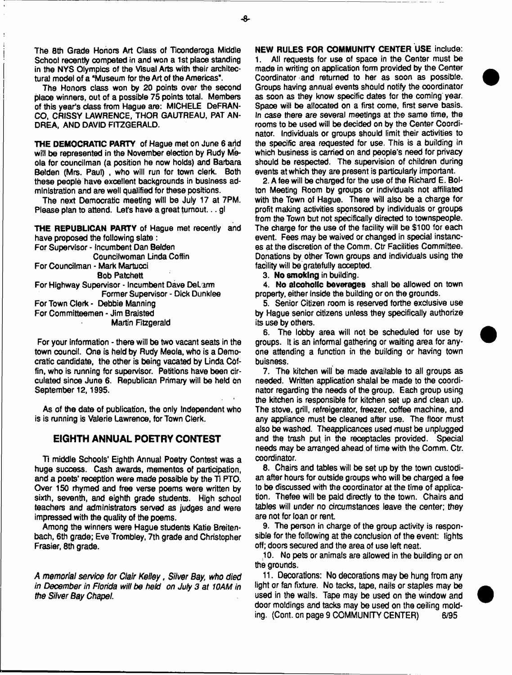The 8th Grade Honors Art Class of Ticonderoga Middle School recently competed in and won a 1st place standing in the NYS Olympics of the Visual Arts with their architectural model of a "Museum for the Art of the Americas".

The Honors class won by 20 points over the second place winners, out of a possible 75 points total. Members of this year's dass from Hague are: MICHELE DeFRAN-CO, CRISSY LAWRENCE, THOR GAUTREAU, PAT AN-DREA, AND DAVID FITZGERALD.

THE DEMOCRATIC PARTY of Hague met on June 6 and will be represented in the November election by Rudy Meoia for councilman (a position he now holds) and Barbara Belden (Mrs. Paul) , who will run for town clerk. Both these people have excellent backgrounds in business administration and are well qualified for these positions.

The next Democratic meeting will be July 17 at 7PM. Please plan to attend. Let's have a great turnout... gl

THE REPUBLICAN PARTY of Hague met recently and have proposed the following slate : For Supervisor - Incumbent Dan Belden Councifwoman Linda Coffin For Councilman - Mark Martuoci Bob Patchett For Highway Supervisor - Incumbent Dave DeLarm Former Supervisor - Dick Dunklee For Town Clerk - Debbie Manning For Committeemen - Jim Braisted **Martin Fitzgerald** 

For your information - there will be two vacant seats in the town council. One is held by Rudy Meola, who is a Democratic candidate, the other is being vacated by Linda Coffin, who is running for supervisor. Petitions have been Circulated since June 6. Republican Primary will be held bn September 12,1995.

As of the date of publication, the only Independent who is is running is Valerie Lawrence, for Town Clerk.

## **EIGHTH ANNUAL POETRY CONTEST**

Ti middle Schools' Eighth Annual Poetry Contest was a huge success. Cash awards, mementos of participation, and a poets' reception were made possible by the Ti PTO. Over 150 rhymed and free verse poems were written by sixth, seventh, and eighth grade students. High school teachers and administrators served as judges and were impressed with the quality of the poems.

Among the winners were Hague students Katie Breitenbach, 6th grade; Eve Trombley, 7th grade and Christopher Frasier, 8th grade.

*A memorial service for Clair Kelley*, *Silver Bay*; *who died in December in Florida will be held on July 3 at 10AM in the Silver Bay Chapel.*

NEW RULES FOR COMMUNrTY CENTER USE include: 1. All requests for use of space in the Center must be made in writing on application form provided by the Center Coordinator and returned to her as soon as possible. Groups having annual events should notify the coordinator as soon as they know specific dates for the coming year. Space will be allocated on a first come, first serve basis. In case there are several meetings at the same time, the rooms to be used will be decided on by the Center Coordinator. Individuals or groups should limit their activities to the specific area requested for use. This is a building in which business is carried on and people's need for privacy should be respected. The supervision of children during events at which they are present is particularly important.

2. A fee will be charged for the use of the Richard E. Bolton Meeting Room by groups or individuals not affiliated with the Town of Hague. There will also be a charge for profit making activities sponsored by individuals or groups from the Town but not specifically directed to townspeople. The charge for the use of the facility will be \$100 for each event. Fees may be waived or changed in special instances at the discretion of the Comm. Ctr Facilities Committee. Donations by other Town groups and individuals using the facility will be gratefully accepted.

3. No smoking in building.

4. No alcoholic beverages shall be allowed on town property, either inside die building or on the grounds.

5. Senior Citizen room is reserved forthe exclusive use by Hague senior citizens unless they specifically authorize its use by others.

6. The lobby area will not be scheduled for use by groups. It is an informal gathering or waiting area for anyone attending a function in the building or having town bu is ness.

7. The kitchen will be made available to all groups as needed. Written application shalai be made to the coordinator regarding the needs of the group. Each group using the kitchen is responsible for kitchen set up and clean up. The stove, grill, refreigerator, freezer, coffee machine, and any appliance must be cleaned after use. The floor must also be washed. Theappiicances used must be unplugged and the trash put in the receptacles provided. Special needs may be arranged ahead of time with the Comm. Ctr. coordinator.

8. Chairs and tables will be set up by the town custodian after hours for outside groups who will be charged a fee to be discussed with the coordinator at the time of application. Thefee wilt be paid directly to the town. Chairs and tables will under no circumstances leave the center; they are not for loan or rent.

9. The person in charge of the group activity is responsible for the following at the conclusion of the event: lights off; doors secured and the area of use left neat.

10. No pets or animals are allowed in the building or on the grounds.

11. Decorations: No decorations may be hung from any light or fan fixture. No tacks, tape, nails or staples may be used in the walls. Tape may be used on the window and door moldings and tacks may be used on the ceiling molding. (Cont. on page 9 COMMUNITY CENTER) 6/95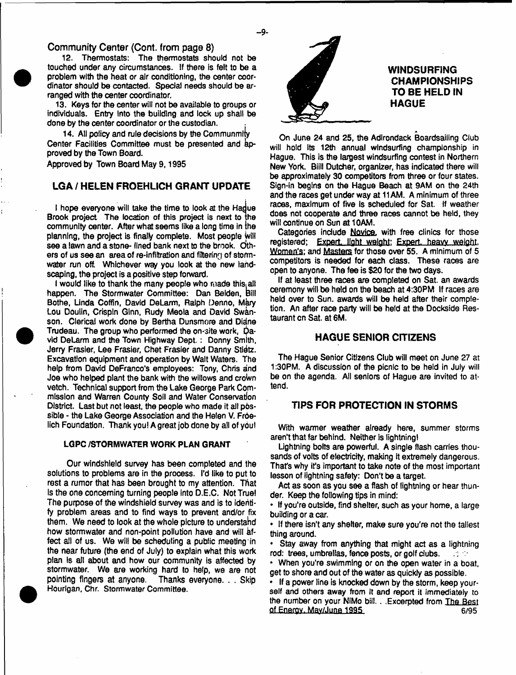## **Community Center (Cont. from page 8)**

12. Thermostats: The thermostats should not be touched under any circumstances. If there is felt to be a problem with the heat or air conditioning, the center coordinator should be contacted. Special needs should be arranged with the center coordinator.

13. Keys for the center will not be available to groups or individuals. Entry Into the building and lock up shall be done by the center coordinator or the custodian. .

14. All policy and rule decisions by the Communmity Center Facilities Committee must be presented and kpproved by the Town Board.

Approved by Town Board May **9,1995**

# **LGA / HELEN FROEHLICH GRANT UPDATE**

I hope everyone will take the time to look at the Hadue Brook project The location of this project is next to the community center. After what seems like a long time in ihe planning, the project is finaty complete. Most people Will see a lawn and a stone- lined bank next to the brook. Others of us see an area of re-infiltration and filtering of stormwater run off. Whichever way you look at the new landscaping, the project is a positive step forward.

I would like to thank the many people who made this all happen. The Stormwater Committee: Dan Belden, bill Bothe, Unda Coffin, David DeLarm, Ralph Denno, Mary Lou Doulin, Crispin Ginn, Rudy Meola and David Swanson. Clerical work done by Bertha Dunsmore and Didne Trudeau, The group who performed the on-site work, Qavid DeLarm and the Town Highway Dept. : Donny Smith, Jerry Frasier, Lee Frasier, Chet Frasier and Danny Stietz. Excavation equipment and operation by Walt Waters. The help from David DeFranco's employees: Tony, Chris and Joe who helped plant the bank with the willows and croWn vetch. Technical support from the Lake George Park Commission and Warren County Soil and Water Conservation District. Last but not least, the people who made it all possible - the Lake George Association and the Helen V. Froelich Foundation. Thank you! A great job done by all of you!

#### LGPC /STORMWATER WORK PLAN GRANT

Our windshield survey has been completed and the solutions to problems are in the process. I'd like to put to rest a rumor that has been brought to my attention. That Is the one concerning turning people into D.E.C. Not True! The purpose of the windshield survey was and is to identify problem areas and to find ways to prevent and/or fix them. We need to look at the whole picture to understahd how stormwater and non-point pollution have and will affect alt of us. We wili be scheduling a public meeting'in the near future (the end of July) to explain what this work plan is alt about and how our community is affected by stormwater. We are working hard to help, we are not pointing fingers at anyone. Thanks everyone. . . Skip Hourigan, Chr. Stormwater Committee.



# **WINDSURFING CHAMPIONSHIPS TO BE HELD IN HAGUE**

On June 24 and 25, the Adirondack Boardsailing Club will hold its 12th annual windsurfing championship in Hague. This is the largest windsurfing contest in Northern New York. Biili Dutcher, organizer, has indicated there will be approximately 30 competitors from three or four states. Sign-in begins on the Hague Beach at 9AM on the 24th and the races get under way at 11AM. A minimum of three races, maximum of five is scheduled for Sat. If weather does not cooperate and three races cannot be held, they will continue on Sun at 10AM.

Categories include Novice, with free clinics for those registered; Expert, light weight; Expert, heavy weight, Women's: and Masters for those over 55. A minimum of 5 competitors is needed for each class. These races are open to anyone. The fee is \$20 for the two days.

If at least three races are completed on Sat. an awards ceremony will be held on the beach at 4:30PM If races are held over to Sun. awards will be held after their completion. An after race party will be held at the Dockside Restaurant cn Sat. at 6M.

#### **HAGUE SENIOR CITIZENS**

The Hague Senior Citizens Club will meet on June 27 at 1:30PM. A discussion of the picnic to be held in July will be on the agenda. Ail seniors of Hague are invited to attend.

#### **TIPS FOR PROTECTION IN STORMS**

With warmer weather already here, summer storms aren't that far behind. Neither is lightning!

Lightning bolts are powerful. A single flash carries thousands of volts of electricity, making it extremely dangerous. That's why it's important to take note of the most important lesson of lightning safety: Don't be a target.

Act as soon as you see a flash of lightning or hear thunder. Keep the following tips in mind:

\* If you're outside, find shelter, such as your home, a large building or a car.

\* if there isn't any shelter, make sure you're not the tallest thing around.

Stay away from anything that might act as a lightning rod: trees, umbrellas, fence posts, or golf dubs.  $\mathcal{L}^{\text{max}}_{\text{max}}$ 

\* When you're swimming or on the open water in a boat, get to shore and out of the water as quickly as possible.

\* If a power line is knocked down by the storm, keep yourself and others away from it and report it immediately to the number on your NiMo bill. . .Excerpted from The Best of Energy. May/June 1995

- **9**-